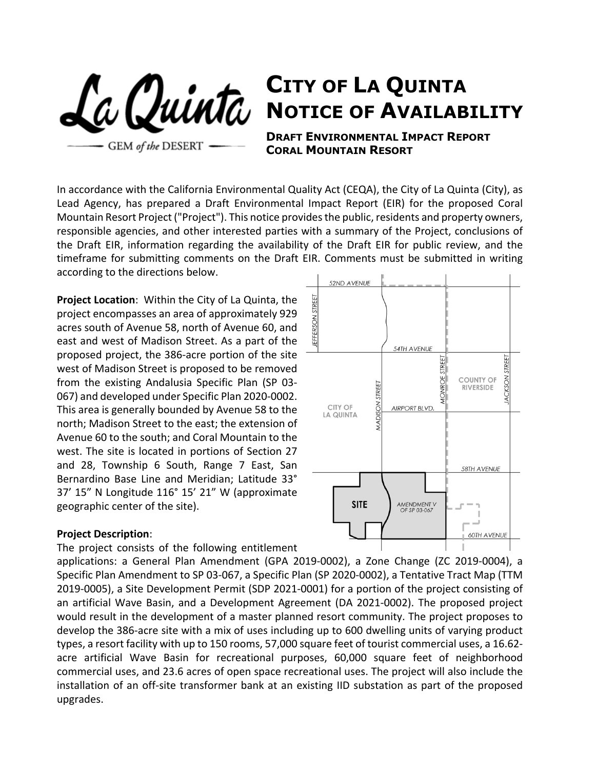**GEM** of the DESERT

## **CITY OF LA QUINTA NOTICE OF AVAILABILITY**

**DRAFT ENVIRONMENTAL IMPACT REPORT CORAL MOUNTAIN RESORT** 

In accordance with the California Environmental Quality Act (CEQA), the City of La Quinta (City), as Lead Agency, has prepared a Draft Environmental Impact Report (EIR) for the proposed Coral Mountain Resort Project ("Project"). This notice provides the public, residents and property owners, responsible agencies, and other interested parties with a summary of the Project, conclusions of the Draft EIR, information regarding the availability of the Draft EIR for public review, and the timeframe for submitting comments on the Draft EIR. Comments must be submitted in writing according to the directions below.

**Project Location**: Within the City of La Quinta, the project encompasses an area of approximately 929 acres south of Avenue 58, north of Avenue 60, and east and west of Madison Street. As a part of the proposed project, the 386-acre portion of the site west of Madison Street is proposed to be removed from the existing Andalusia Specific Plan (SP 03- 067) and developed under Specific Plan 2020-0002. This area is generally bounded by Avenue 58 to the north; Madison Street to the east; the extension of Avenue 60 to the south; and Coral Mountain to the west. The site is located in portions of Section 27 and 28, Township 6 South, Range 7 East, San Bernardino Base Line and Meridian; Latitude 33° 37' 15" N Longitude 116° 15' 21" W (approximate geographic center of the site).

## **Project Description**:

The project consists of the following entitlement

applications: a General Plan Amendment (GPA 2019-0002), a Zone Change (ZC 2019-0004), a Specific Plan Amendment to SP 03-067, a Specific Plan (SP 2020-0002), a Tentative Tract Map (TTM 2019-0005), a Site Development Permit (SDP 2021-0001) for a portion of the project consisting of an artificial Wave Basin, and a Development Agreement (DA 2021-0002). The proposed project would result in the development of a master planned resort community. The project proposes to develop the 386-acre site with a mix of uses including up to 600 dwelling units of varying product types, a resort facility with up to 150 rooms, 57,000 square feet of tourist commercial uses, a 16.62 acre artificial Wave Basin for recreational purposes, 60,000 square feet of neighborhood commercial uses, and 23.6 acres of open space recreational uses. The project will also include the installation of an off-site transformer bank at an existing IID substation as part of the proposed upgrades.